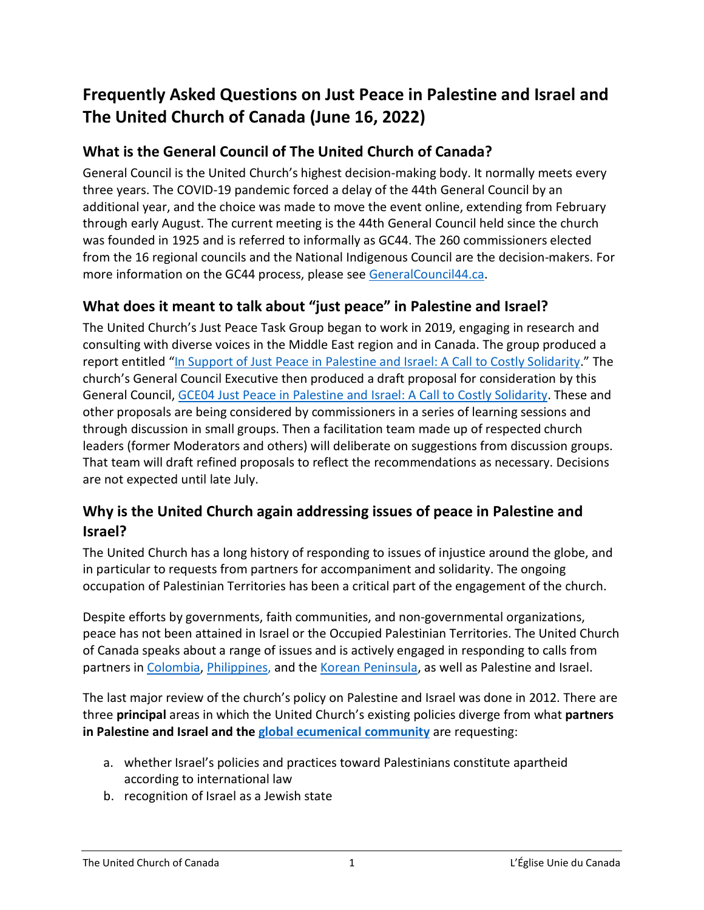# **Frequently Asked Questions on Just Peace in Palestine and Israel and The United Church of Canada (June 16, 2022)**

## **What is the General Council of The United Church of Canada?**

General Council is the United Church's highest decision-making body. It normally meets every three years. The COVID-19 pandemic forced a delay of the 44th General Council by an additional year, and the choice was made to move the event online, extending from February through early August. The current meeting is the 44th General Council held since the church was founded in 1925 and is referred to informally as GC44. The 260 commissioners elected from the 16 regional councils and the National Indigenous Council are the decision-makers. For more information on the GC44 process, please see [GeneralCouncil44.ca.](https://generalcouncil44.ca/council/business-process-gc44)

### **What does it meant to talk about "just peace" in Palestine and Israel?**

The United Church's Just Peace Task Group began to work in 2019, engaging in research and consulting with diverse voices in the Middle East region and in Canada. The group produced a report entitled ["In Support of Just Peace in Palestine and Israel: A Call to Costly Solidarity.](https://unitedchurch.sharepoint.com/:w:/s/UnitedChurchCommons/EXMmRXJuBl1NsioRyCuIrh0BLuzLOoM98LbC3Zj3GYPQbw?e=06lRDJ)" The church's General Council Executive then produced a draft proposal for consideration by this General Council, [GCE04 Just Peace in Palestine and Israel: A Call to Costly Solidarity.](https://unitedchurch.sharepoint.com/:b:/s/UnitedChurchCommons/EU10rnSIlQNErxgg4uVpbncBtNz7glNfIra2D23vkxTmjQ?e=9rrCLA) These and other proposals are being considered by commissioners in a series of learning sessions and through discussion in small groups. Then a facilitation team made up of respected church leaders (former Moderators and others) will deliberate on suggestions from discussion groups. That team will draft refined proposals to reflect the recommendations as necessary. Decisions are not expected until late July.

### **Why is the United Church again addressing issues of peace in Palestine and Israel?**

The United Church has a long history of responding to issues of injustice around the globe, and in particular to requests from partners for accompaniment and solidarity. The ongoing occupation of Palestinian Territories has been a critical part of the engagement of the church.

Despite efforts by governments, faith communities, and non-governmental organizations, peace has not been attained in Israel or the Occupied Palestinian Territories. The United Church of Canada speaks about a range of issues and is actively engaged in responding to calls from partners in [Colombia,](https://united-church.ca/sites/default/files/2021-05/letter-to-minister-garneau-on-colombia.pdf) [Philippines,](https://www.investigate.ph/) and th[e Korean Peninsula,](https://united-church.ca/news/korea-peace-appeal-10000-signature-campaign-launch) as well as Palestine and Israel.

The last major review of the church's policy on Palestine and Israel was done in 2012. There are three **principal** areas in which the United Church's existing policies diverge from what **partners in Palestine and Israel and the [global ecumenical community](https://united-church.ca/social-action/justice-initiatives/unsettling-goods-choose-peace-palestine-and-israel/what-are)** are requesting:

- a. whether Israel's policies and practices toward Palestinians constitute apartheid according to international law
- b. recognition of Israel as a Jewish state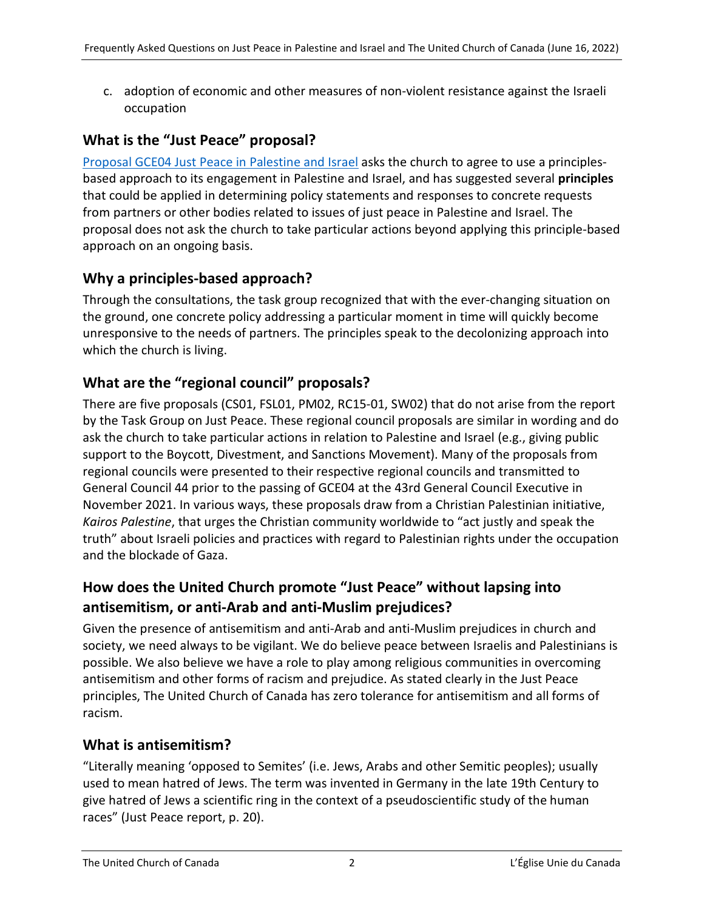c. adoption of economic and other measures of non-violent resistance against the Israeli occupation

## **What is the "Just Peace" proposal?**

[Proposal GCE04 Just Peace in Palestine and Israel](https://unitedchurch.sharepoint.com/:w:/s/UnitedChurchCommons/EXMmRXJuBl1NsioRyCuIrh0BLuzLOoM98LbC3Zj3GYPQbw?rtime=lVB3qMT_2Ug) asks the church to agree to use a principlesbased approach to its engagement in Palestine and Israel, and has suggested several **principles** that could be applied in determining policy statements and responses to concrete requests from partners or other bodies related to issues of just peace in Palestine and Israel. The proposal does not ask the church to take particular actions beyond applying this principle-based approach on an ongoing basis.

## **Why a principles-based approach?**

Through the consultations, the task group recognized that with the ever-changing situation on the ground, one concrete policy addressing a particular moment in time will quickly become unresponsive to the needs of partners. The principles speak to the decolonizing approach into which the church is living.

## **What are the "regional council" proposals?**

There are five proposals (CS01, FSL01, PM02, RC15-01, SW02) that do not arise from the report by the Task Group on Just Peace. These regional council proposals are similar in wording and do ask the church to take particular actions in relation to Palestine and Israel (e.g., giving public support to the Boycott, Divestment, and Sanctions Movement). Many of the proposals from regional councils were presented to their respective regional councils and transmitted to General Council 44 prior to the passing of GCE04 at the 43rd General Council Executive in November 2021. In various ways, these proposals draw from a Christian Palestinian initiative, *[Kairos Palestine](https://www.kairospalestine.ps/images/kairos-palestine-call-for-world-solidarity.pdf)*, that urges the Christian community worldwide to "act justly and speak the truth" about Israeli policies and practices with regard to Palestinian rights under the occupation and the blockade of Gaza.

## **How does the United Church promote "Just Peace" without lapsing into antisemitism, or anti-Arab and anti-Muslim prejudices?**

Given the presence of antisemitism and anti-Arab and anti-Muslim prejudices in church and society, we need always to be vigilant. We do believe peace between Israelis and Palestinians is possible. We also believe we have a role to play among religious communities in overcoming antisemitism and other forms of racism and prejudice. As stated clearly in the Just Peace principles, The United Church of Canada has zero tolerance for antisemitism and all forms of racism.

## **What is antisemitism?**

"Literally meaning 'opposed to Semites' (i.e. Jews, Arabs and other Semitic peoples); usually used to mean hatred of Jews. The term was invented in Germany in the late 19th Century to give hatred of Jews a scientific ring in the context of a pseudoscientific study of the human races" (Just Peace report, p. 20).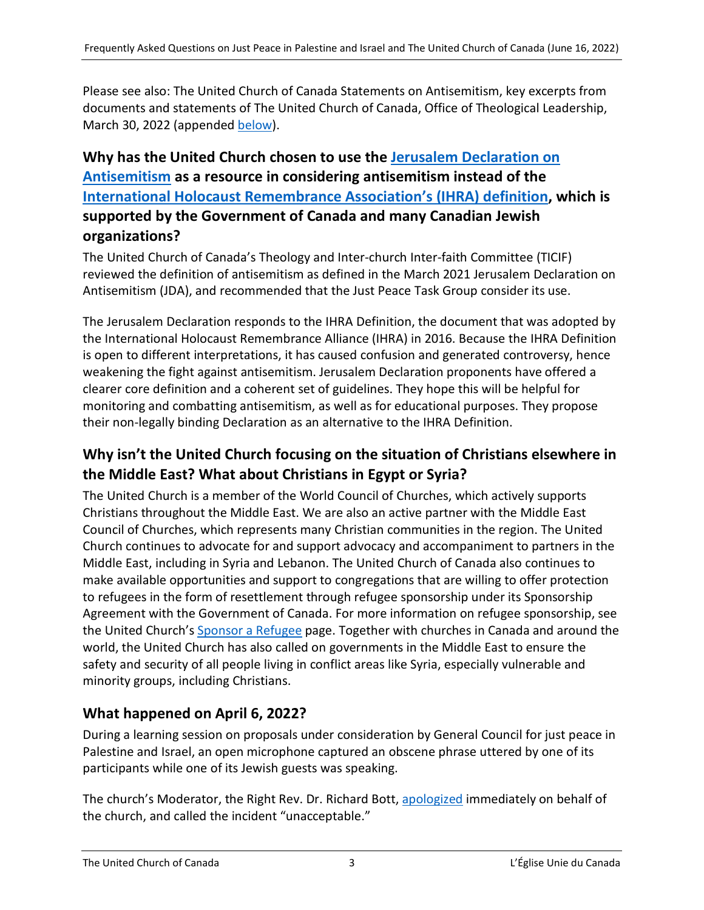Please see also: The United Church of Canada Statements on Antisemitism, key excerpts from documents and statements of The United Church of Canada, Office of Theological Leadership, March 30, 2022 (appended [below\)](#page-4-0).

## **Why has the United Church chosen to use the [Jerusalem Declaration](https://jerusalemdeclaration.org/) on Antisemitism as a resource in considering antisemitism instead of the [International Holocaust Remembrance Association's \(IHRA\) definition,](https://holocaustremembrance.com/resources/working-definitions-charters/working-definition-antisemitism) which is supported by the Government of Canada and many Canadian Jewish organizations?**

The United Church of Canada's Theology and Inter-church Inter-faith Committee (TICIF) reviewed the definition of antisemitism as defined in the March 2021 Jerusalem Declaration on Antisemitism (JDA), and recommended that the Just Peace Task Group consider its use.

The Jerusalem Declaration responds to the IHRA Definition, the document that was adopted by the International Holocaust Remembrance Alliance (IHRA) in 2016. Because the IHRA Definition is open to different interpretations, it has caused confusion and generated controversy, hence weakening the fight against antisemitism. Jerusalem Declaration proponents have offered a clearer core definition and a coherent set of guidelines. They hope this will be helpful for monitoring and combatting antisemitism, as well as for educational purposes. They propose their non-legally binding Declaration as an alternative to the IHRA Definition.

## **Why isn't the United Church focusing on the situation of Christians elsewhere in the Middle East? What about Christians in Egypt or Syria?**

The United Church is a member of the World Council of Churches, which actively supports Christians throughout the Middle East. We are also an active partner with the Middle East Council of Churches, which represents many Christian communities in the region. The United Church continues to advocate for and support advocacy and accompaniment to partners in the Middle East, including in Syria and Lebanon. The United Church of Canada also continues to make available opportunities and support to congregations that are willing to offer protection to refugees in the form of resettlement through refugee sponsorship under its Sponsorship Agreement with the Government of Canada. For more information on refugee sponsorship, see the United Church'[s Sponsor a Refugee](http://www.united-church.ca/social-action/act-now/sponsor-refugee) page. Together with churches in Canada and around the world, the United Church has also called on governments in the Middle East to ensure the safety and security of all people living in conflict areas like Syria, especially vulnerable and minority groups, including Christians.

## **What happened on April 6, 2022?**

During a learning session on proposals under consideration by General Council for just peace in Palestine and Israel, an open microphone captured an obscene phrase uttered by one of its participants while one of its Jewish guests was speaking.

The church's Moderator, the Right Rev. Dr. Richard Bott[, apologized](https://generalcouncil44.ca/news/apology-april-6-incident) immediately on behalf of the church, and called the incident "unacceptable."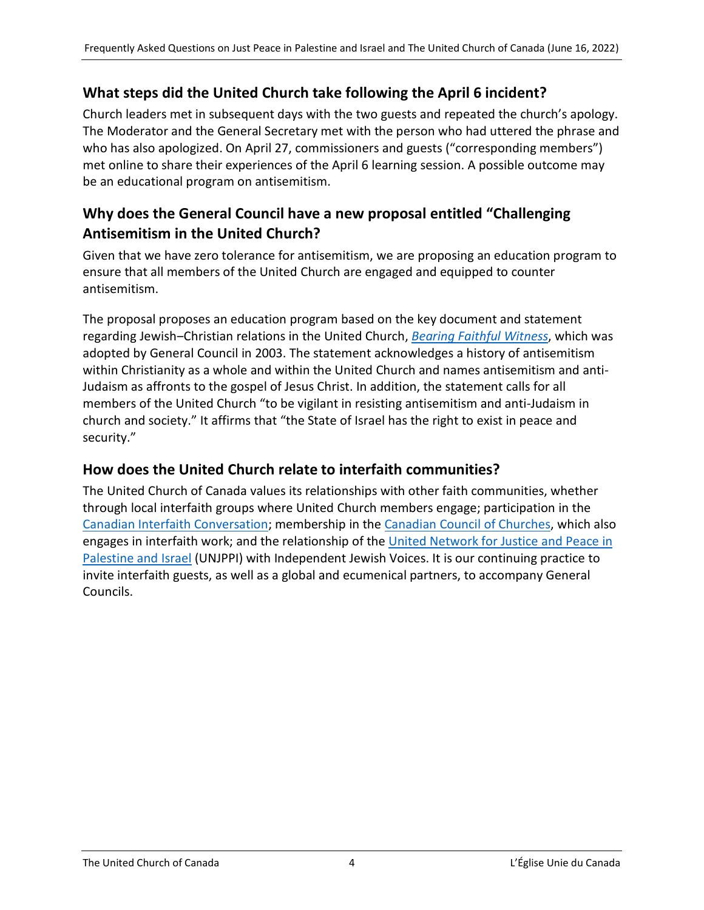## **What steps did the United Church take following the April 6 incident?**

Church leaders met in subsequent days with the two guests and repeated the church's apology. The Moderator and the General Secretary met with the person who had uttered the phrase and who has also apologized. On April 27, commissioners and guests ("corresponding members") met online to share their experiences of the April 6 learning session. A possible outcome may be an educational program on antisemitism.

## **Why does the General Council have a new proposal entitled "Challenging Antisemitism in the United Church?**

Given that we have zero tolerance for antisemitism, we are proposing an education program to ensure that all members of the United Church are engaged and equipped to counter antisemitism.

The proposal proposes an education program based on the key document and statement regarding Jewish‒Christian relations in the United Church, *[Bearing Faithful Witness](https://unitedchurch.sharepoint.com/:b:/s/UnitedChurchCommons/EShAOktDpS1EihA56xWHg5wB-AiswFbjgW68TGKvbUTVuw?e=dphfZe)*, which was adopted by General Council in 2003. The statement acknowledges a history of antisemitism within Christianity as a whole and within the United Church and names antisemitism and anti-Judaism as affronts to the gospel of Jesus Christ. In addition, the statement calls for all members of the United Church "to be vigilant in resisting antisemitism and anti-Judaism in church and society." It affirms that "the State of Israel has the right to exist in peace and security."

#### **How does the United Church relate to interfaith communities?**

The United Church of Canada values its relationships with other faith communities, whether through local interfaith groups where United Church members engage; participation in the [Canadian Interfaith Conversation;](https://www.interfaithconversation.ca/) membership in the [Canadian Council of Churches,](https://www.councilofchurches.ca/) which also engages in interfaith work; and the relationship of the [United Network for Justice and Peace in](https://www.unjppi.org/index.html)  [Palestine and Israel](https://www.unjppi.org/index.html) (UNJPPI) with Independent Jewish Voices. It is our continuing practice to invite interfaith guests, as well as a global and ecumenical partners, to accompany General Councils.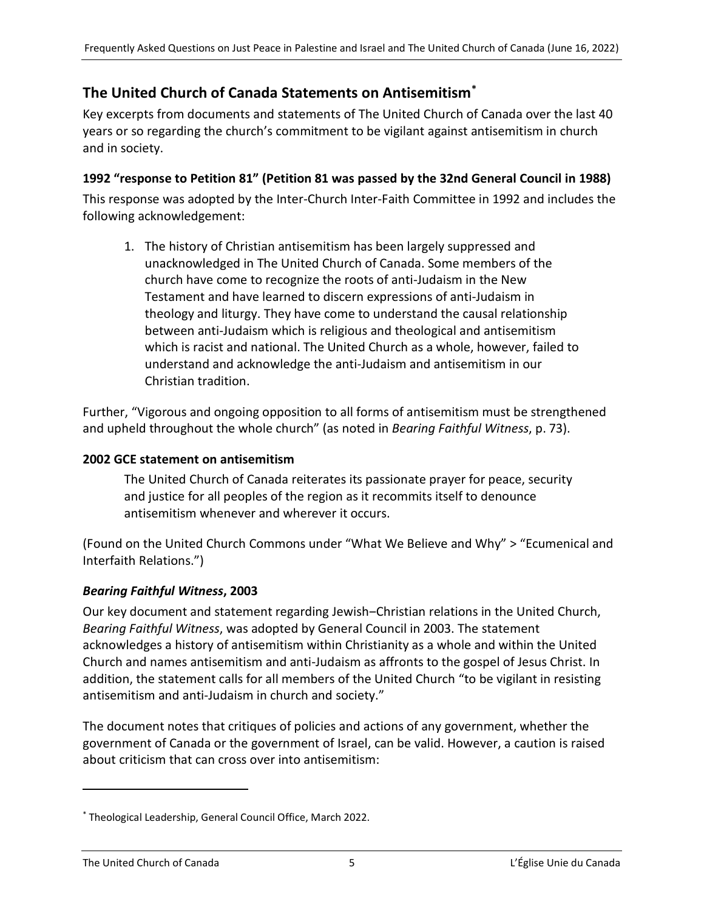### <span id="page-4-0"></span>**The United Church of Canada Statements on Antisemitism[\\*](#page-4-1)**

Key excerpts from documents and statements of The United Church of Canada over the last 40 years or so regarding the church's commitment to be vigilant against antisemitism in church and in society.

#### **1992 "response to Petition 81" (Petition 81 was passed by the 32nd General Council in 1988)**

This response was adopted by the Inter-Church Inter-Faith Committee in 1992 and includes the following acknowledgement:

1. The history of Christian antisemitism has been largely suppressed and unacknowledged in The United Church of Canada. Some members of the church have come to recognize the roots of anti-Judaism in the New Testament and have learned to discern expressions of anti-Judaism in theology and liturgy. They have come to understand the causal relationship between anti-Judaism which is religious and theological and antisemitism which is racist and national. The United Church as a whole, however, failed to understand and acknowledge the anti-Judaism and antisemitism in our Christian tradition.

Further, "Vigorous and ongoing opposition to all forms of antisemitism must be strengthened and upheld throughout the whole church" (as noted in *Bearing Faithful Witness*, p. 73).

#### **2002 GCE statement on antisemitism**

The United Church of Canada reiterates its passionate prayer for peace, security and justice for all peoples of the region as it recommits itself to denounce antisemitism whenever and wherever it occurs.

(Found on the United Church Commons under "What We Believe and Why" > "Ecumenical and Interfaith Relations.")

#### *Bearing Faithful Witness***, 2003**

Our key document and statement regarding Jewish-Christian relations in the United Church, *Bearing Faithful Witness*, was adopted by General Council in 2003. The statement acknowledges a history of antisemitism within Christianity as a whole and within the United Church and names antisemitism and anti-Judaism as affronts to the gospel of Jesus Christ. In addition, the statement calls for all members of the United Church "to be vigilant in resisting antisemitism and anti-Judaism in church and society."

The document notes that critiques of policies and actions of any government, whether the government of Canada or the government of Israel, can be valid. However, a caution is raised about criticism that can cross over into antisemitism:

 $\overline{a}$ 

<span id="page-4-1"></span><sup>\*</sup> Theological Leadership, General Council Office, March 2022.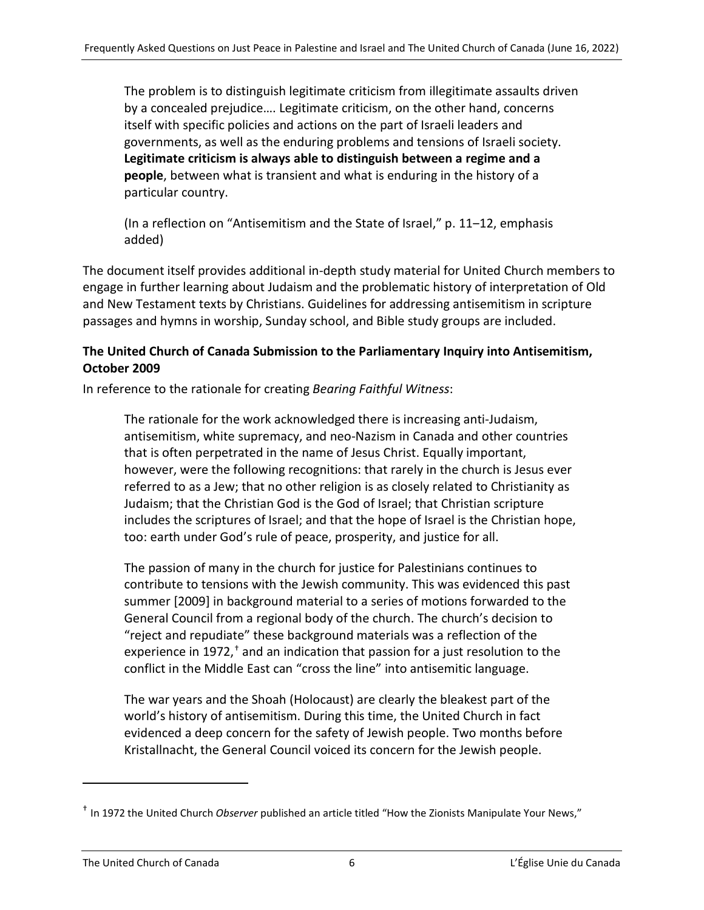The problem is to distinguish legitimate criticism from illegitimate assaults driven by a concealed prejudice…. Legitimate criticism, on the other hand, concerns itself with specific policies and actions on the part of Israeli leaders and governments, as well as the enduring problems and tensions of Israeli society. **Legitimate criticism is always able to distinguish between a regime and a people**, between what is transient and what is enduring in the history of a particular country.

(In a reflection on "Antisemitism and the State of Israel," p. 11–12, emphasis added)

The document itself provides additional in-depth study material for United Church members to engage in further learning about Judaism and the problematic history of interpretation of Old and New Testament texts by Christians. Guidelines for addressing antisemitism in scripture passages and hymns in worship, Sunday school, and Bible study groups are included.

#### **The United Church of Canada Submission to the Parliamentary Inquiry into Antisemitism, October 2009**

In reference to the rationale for creating *Bearing Faithful Witness*:

The rationale for the work acknowledged there is increasing anti-Judaism, antisemitism, white supremacy, and neo-Nazism in Canada and other countries that is often perpetrated in the name of Jesus Christ. Equally important, however, were the following recognitions: that rarely in the church is Jesus ever referred to as a Jew; that no other religion is as closely related to Christianity as Judaism; that the Christian God is the God of Israel; that Christian scripture includes the scriptures of Israel; and that the hope of Israel is the Christian hope, too: earth under God's rule of peace, prosperity, and justice for all.

The passion of many in the church for justice for Palestinians continues to contribute to tensions with the Jewish community. This was evidenced this past summer [2009] in background material to a series of motions forwarded to the General Council from a regional body of the church. The church's decision to "reject and repudiate" these background materials was a reflection of the experience in 1972, $<sup>†</sup>$  $<sup>†</sup>$  $<sup>†</sup>$  and an indication that passion for a just resolution to the</sup> conflict in the Middle East can "cross the line" into antisemitic language.

The war years and the Shoah (Holocaust) are clearly the bleakest part of the world's history of antisemitism. During this time, the United Church in fact evidenced a deep concern for the safety of Jewish people. Two months before Kristallnacht, the General Council voiced its concern for the Jewish people.

 $\overline{a}$ 

<span id="page-5-0"></span><sup>†</sup> In 1972 the United Church *Observer* published an article titled "How the Zionists Manipulate Your News,"